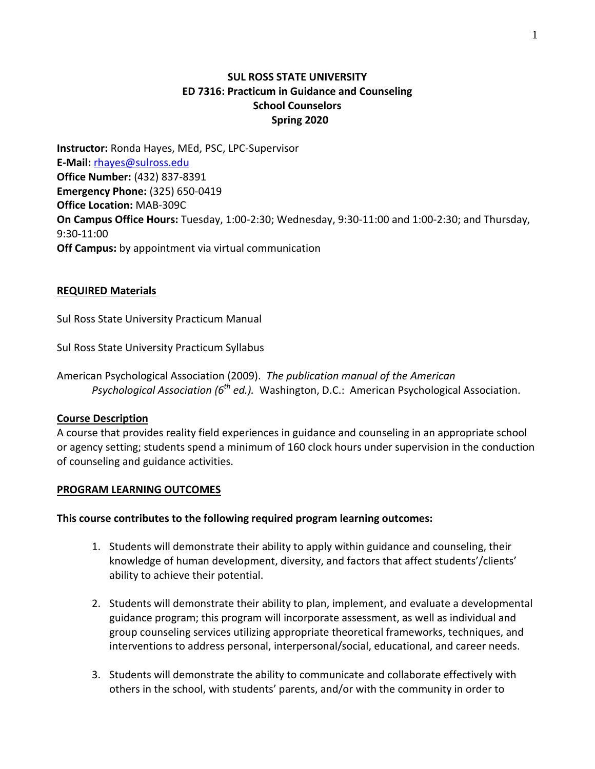## **SUL ROSS STATE UNIVERSITY ED 7316: Practicum in Guidance and Counseling School Counselors Spring 2020**

**Instructor:** Ronda Hayes, MEd, PSC, LPC-Supervisor **E-Mail:** [rhayes@sulross.edu](mailto:rhayes@sulross.edu) **Office Number:** (432) 837-8391 **Emergency Phone:** (325) 650-0419 **Office Location:** MAB-309C **On Campus Office Hours:** Tuesday, 1:00-2:30; Wednesday, 9:30-11:00 and 1:00-2:30; and Thursday, 9:30-11:00 **Off Campus:** by appointment via virtual communication

#### **REQUIRED Materials**

Sul Ross State University Practicum Manual

Sul Ross State University Practicum Syllabus

American Psychological Association (2009). *The publication manual of the American Psychological Association (6th ed.).* Washington, D.C.: American Psychological Association.

#### **Course Description**

A course that provides reality field experiences in guidance and counseling in an appropriate school or agency setting; students spend a minimum of 160 clock hours under supervision in the conduction of counseling and guidance activities.

#### **PROGRAM LEARNING OUTCOMES**

#### **This course contributes to the following required program learning outcomes:**

- 1. Students will demonstrate their ability to apply within guidance and counseling, their knowledge of human development, diversity, and factors that affect students'/clients' ability to achieve their potential.
- 2. Students will demonstrate their ability to plan, implement, and evaluate a developmental guidance program; this program will incorporate assessment, as well as individual and group counseling services utilizing appropriate theoretical frameworks, techniques, and interventions to address personal, interpersonal/social, educational, and career needs.
- 3. Students will demonstrate the ability to communicate and collaborate effectively with others in the school, with students' parents, and/or with the community in order to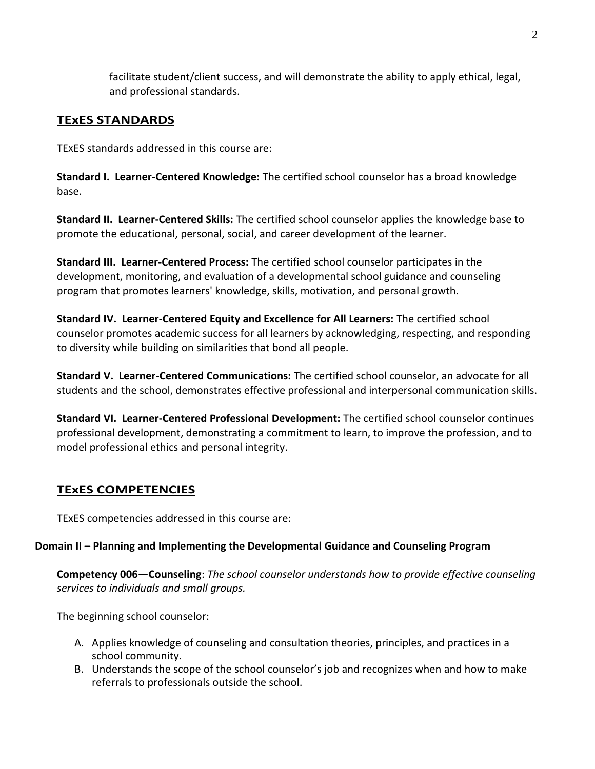facilitate student/client success, and will demonstrate the ability to apply ethical, legal, and professional standards.

# **TExES STANDARDS**

TEXES standards addressed in this course are:

**Standard I. Learner-Centered Knowledge:** The certified school counselor has a broad knowledge base.

**Standard II. Learner-Centered Skills:** The certified school counselor applies the knowledge base to promote the educational, personal, social, and career development of the learner.

**Standard III. Learner-Centered Process:** The certified school counselor participates in the development, monitoring, and evaluation of a developmental school guidance and counseling program that promotes learners' knowledge, skills, motivation, and personal growth.

**Standard IV. Learner-Centered Equity and Excellence for All Learners:** The certified school counselor promotes academic success for all learners by acknowledging, respecting, and responding to diversity while building on similarities that bond all people.

**Standard V. Learner-Centered Communications:** The certified school counselor, an advocate for all students and the school, demonstrates effective professional and interpersonal communication skills.

**Standard VI. Learner-Centered Professional Development:** The certified school counselor continues professional development, demonstrating a commitment to learn, to improve the profession, and to model professional ethics and personal integrity.

## **TExES COMPETENCIES**

TExES competencies addressed in this course are:

#### **Domain II – Planning and Implementing the Developmental Guidance and Counseling Program**

**Competency 006—Counseling**: *The school counselor understands how to provide effective counseling services to individuals and small groups.*

The beginning school counselor:

- A. Applies knowledge of counseling and consultation theories, principles, and practices in a school community.
- B. Understands the scope of the school counselor's job and recognizes when and how to make referrals to professionals outside the school.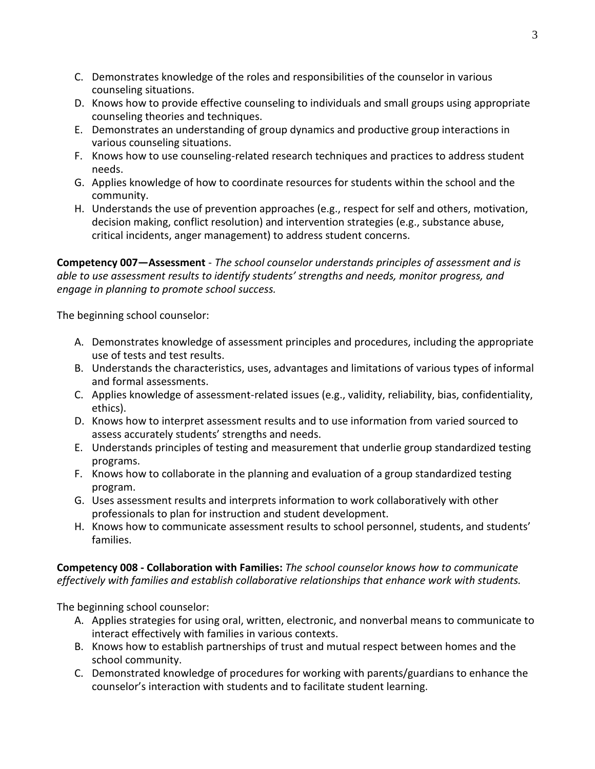- C. Demonstrates knowledge of the roles and responsibilities of the counselor in various counseling situations.
- D. Knows how to provide effective counseling to individuals and small groups using appropriate counseling theories and techniques.
- E. Demonstrates an understanding of group dynamics and productive group interactions in various counseling situations.
- F. Knows how to use counseling-related research techniques and practices to address student needs.
- G. Applies knowledge of how to coordinate resources for students within the school and the community.
- H. Understands the use of prevention approaches (e.g., respect for self and others, motivation, decision making, conflict resolution) and intervention strategies (e.g., substance abuse, critical incidents, anger management) to address student concerns.

**Competency 007—Assessment** - *The school counselor understands principles of assessment and is able to use assessment results to identify students' strengths and needs, monitor progress, and engage in planning to promote school success.*

The beginning school counselor:

- A. Demonstrates knowledge of assessment principles and procedures, including the appropriate use of tests and test results.
- B. Understands the characteristics, uses, advantages and limitations of various types of informal and formal assessments.
- C. Applies knowledge of assessment-related issues (e.g., validity, reliability, bias, confidentiality, ethics).
- D. Knows how to interpret assessment results and to use information from varied sourced to assess accurately students' strengths and needs.
- E. Understands principles of testing and measurement that underlie group standardized testing programs.
- F. Knows how to collaborate in the planning and evaluation of a group standardized testing program.
- G. Uses assessment results and interprets information to work collaboratively with other professionals to plan for instruction and student development.
- H. Knows how to communicate assessment results to school personnel, students, and students' families.

**Competency 008 - Collaboration with Families:** *The school counselor knows how to communicate effectively with families and establish collaborative relationships that enhance work with students.*

The beginning school counselor:

- A. Applies strategies for using oral, written, electronic, and nonverbal means to communicate to interact effectively with families in various contexts.
- B. Knows how to establish partnerships of trust and mutual respect between homes and the school community.
- C. Demonstrated knowledge of procedures for working with parents/guardians to enhance the counselor's interaction with students and to facilitate student learning.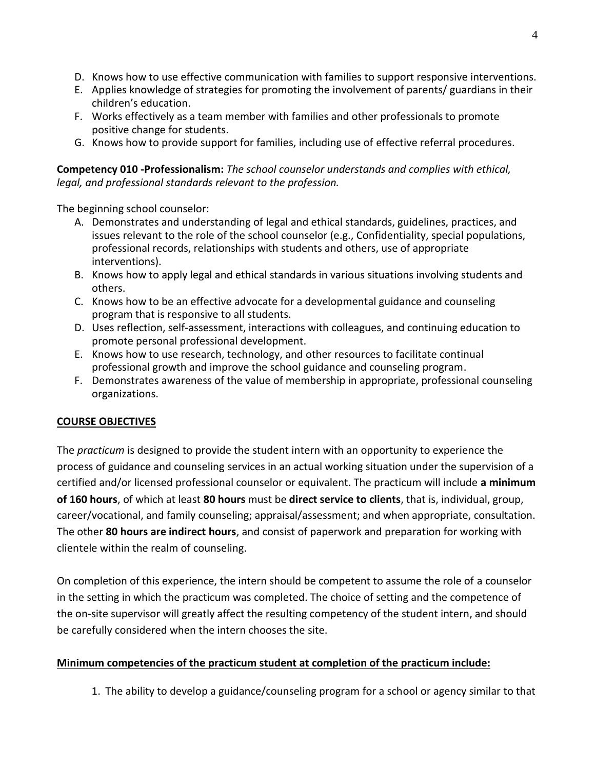- D. Knows how to use effective communication with families to support responsive interventions.
- E. Applies knowledge of strategies for promoting the involvement of parents/ guardians in their children's education.
- F. Works effectively as a team member with families and other professionals to promote positive change for students.
- G. Knows how to provide support for families, including use of effective referral procedures.

**Competency 010 -Professionalism:** *The school counselor understands and complies with ethical, legal, and professional standards relevant to the profession.*

The beginning school counselor:

- A. Demonstrates and understanding of legal and ethical standards, guidelines, practices, and issues relevant to the role of the school counselor (e.g., Confidentiality, special populations, professional records, relationships with students and others, use of appropriate interventions).
- B. Knows how to apply legal and ethical standards in various situations involving students and others.
- C. Knows how to be an effective advocate for a developmental guidance and counseling program that is responsive to all students.
- D. Uses reflection, self-assessment, interactions with colleagues, and continuing education to promote personal professional development.
- E. Knows how to use research, technology, and other resources to facilitate continual professional growth and improve the school guidance and counseling program.
- F. Demonstrates awareness of the value of membership in appropriate, professional counseling organizations.

# **COURSE OBJECTIVES**

The *practicum* is designed to provide the student intern with an opportunity to experience the process of guidance and counseling services in an actual working situation under the supervision of a certified and/or licensed professional counselor or equivalent. The practicum will include **a minimum of 160 hours**, of which at least **80 hours** must be **direct service to clients**, that is, individual, group, career/vocational, and family counseling; appraisal/assessment; and when appropriate, consultation. The other **80 hours are indirect hours**, and consist of paperwork and preparation for working with clientele within the realm of counseling.

On completion of this experience, the intern should be competent to assume the role of a counselor in the setting in which the practicum was completed. The choice of setting and the competence of the on-site supervisor will greatly affect the resulting competency of the student intern, and should be carefully considered when the intern chooses the site.

## **Minimum competencies of the practicum student at completion of the practicum include:**

1. The ability to develop a guidance/counseling program for a school or agency similar to that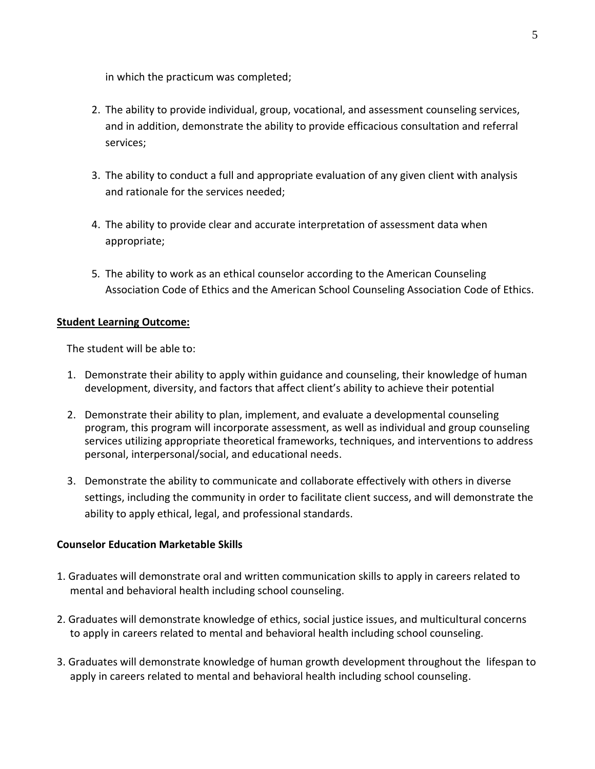in which the practicum was completed;

- 2. The ability to provide individual, group, vocational, and assessment counseling services, and in addition, demonstrate the ability to provide efficacious consultation and referral services;
- 3. The ability to conduct a full and appropriate evaluation of any given client with analysis and rationale for the services needed;
- 4. The ability to provide clear and accurate interpretation of assessment data when appropriate;
- 5*.* The ability to work as an ethical counselor according to the American Counseling Association Code of Ethics and the American School Counseling Association Code of Ethics.

### **Student Learning Outcome:**

The student will be able to:

- 1. Demonstrate their ability to apply within guidance and counseling, their knowledge of human development, diversity, and factors that affect client's ability to achieve their potential
- 2. Demonstrate their ability to plan, implement, and evaluate a developmental counseling program, this program will incorporate assessment, as well as individual and group counseling services utilizing appropriate theoretical frameworks, techniques, and interventions to address personal, interpersonal/social, and educational needs.
- 3. Demonstrate the ability to communicate and collaborate effectively with others in diverse settings, including the community in order to facilitate client success, and will demonstrate the ability to apply ethical, legal, and professional standards.

## **Counselor Education Marketable Skills**

- 1. Graduates will demonstrate oral and written communication skills to apply in careers related to mental and behavioral health including school counseling.
- 2. Graduates will demonstrate knowledge of ethics, social justice issues, and multicultural concerns to apply in careers related to mental and behavioral health including school counseling.
- 3. Graduates will demonstrate knowledge of human growth development throughout the lifespan to apply in careers related to mental and behavioral health including school counseling.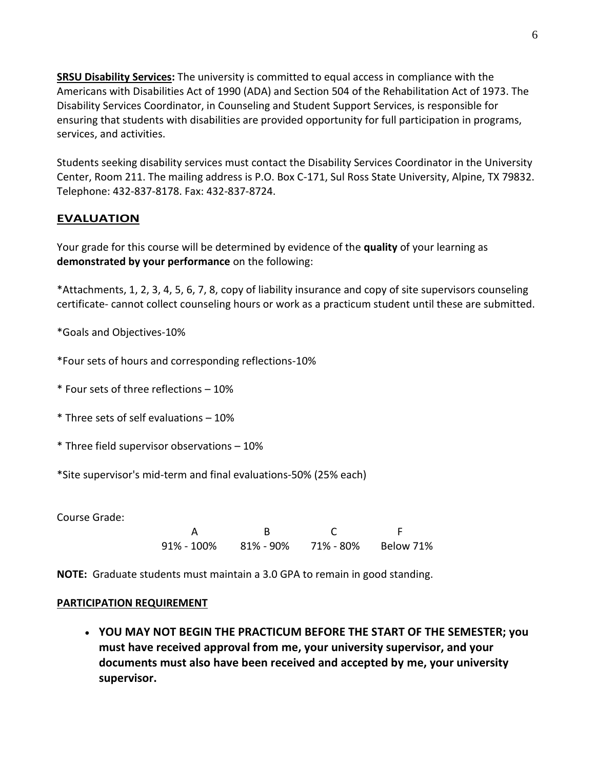**SRSU Disability Services:** The university is committed to equal access in compliance with the Americans with Disabilities Act of 1990 (ADA) and Section 504 of the Rehabilitation Act of 1973. The Disability Services Coordinator, in Counseling and Student Support Services, is responsible for ensuring that students with disabilities are provided opportunity for full participation in programs, services, and activities.

Students seeking disability services must contact the Disability Services Coordinator in the University Center, Room 211. The mailing address is P.O. Box C-171, Sul Ross State University, Alpine, TX 79832. Telephone: 432-837-8178. Fax: 432-837-8724.

# **EVALUATION**

Your grade for this course will be determined by evidence of the **quality** of your learning as **demonstrated by your performance** on the following:

\*Attachments, 1, 2, 3, 4, 5, 6, 7, 8, copy of liability insurance and copy of site supervisors counseling certificate- cannot collect counseling hours or work as a practicum student until these are submitted.

\*Goals and Objectives-10%

- \*Four sets of hours and corresponding reflections-10%
- \* Four sets of three reflections 10%
- \* Three sets of self evaluations 10%
- \* Three field supervisor observations 10%

\*Site supervisor's mid-term and final evaluations-50% (25% each)

Course Grade:

A B C F 91% - 100% 81% - 90% 71% - 80% Below 71%

**NOTE:** Graduate students must maintain a 3.0 GPA to remain in good standing.

#### **PARTICIPATION REQUIREMENT**

 **YOU MAY NOT BEGIN THE PRACTICUM BEFORE THE START OF THE SEMESTER; you must have received approval from me, your university supervisor, and your documents must also have been received and accepted by me, your university supervisor.**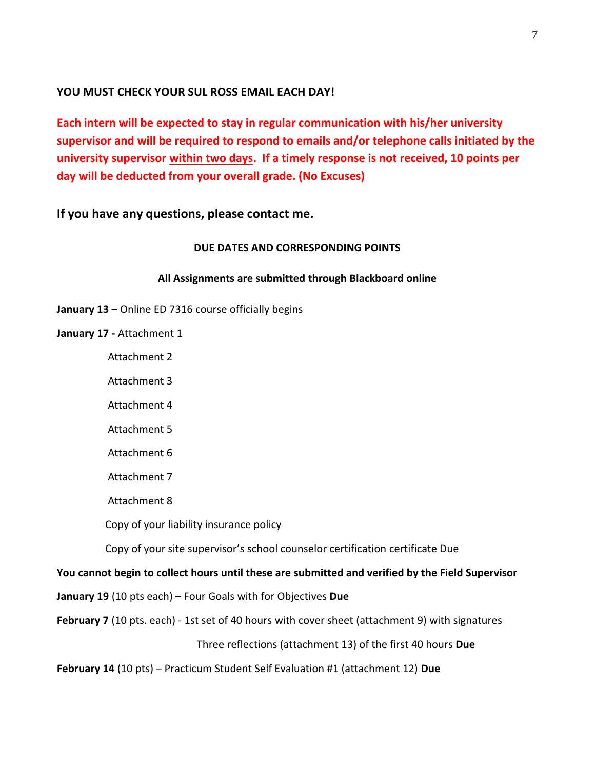# **YOU MUST CHECK YOUR SUL ROSS EMAIL EACH DAY!**

**Each intern will be expected to stay in regular communication with his/her university supervisor and will be required to respond to emails and/or telephone calls initiated by the university supervisor within two days. If a timely response is not received, 10 points per day will be deducted from your overall grade. (No Excuses)**

**If you have any questions, please contact me.** 

### **DUE DATES AND CORRESPONDING POINTS**

#### **All Assignments are submitted through Blackboard online**

**January 13 –** Online ED 7316 course officially begins

**January 17 -** Attachment 1

Attachment 2

Attachment 3

Attachment 4

Attachment 5

Attachment 6

Attachment 7

Attachment 8

Copy of your liability insurance policy

Copy of your site supervisor's school counselor certification certificate Due

## **You cannot begin to collect hours until these are submitted and verified by the Field Supervisor**

**January 19** (10 pts each) – Four Goals with for Objectives **Due**

February 7 (10 pts. each) - 1st set of 40 hours with cover sheet (attachment 9) with signatures

Three reflections (attachment 13) of the first 40 hours **Due**

**February 14** (10 pts) – Practicum Student Self Evaluation #1 (attachment 12) **Due**